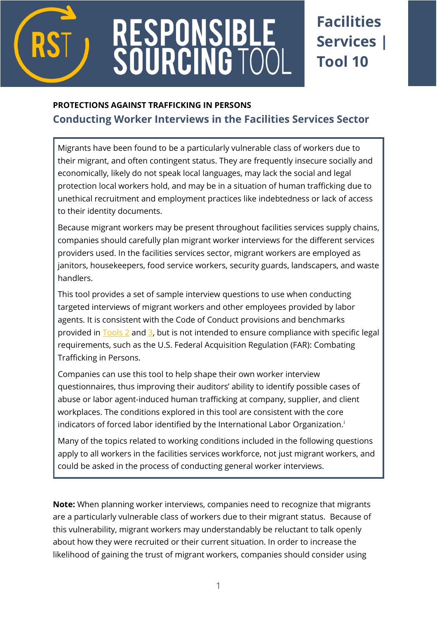

# RESPONSIBL<br>SOURCING TC

## **Facilities Services | Tool 10**

### **PROTECTIONS AGAINST TRAFFICKING IN PERSONS [Conducting Worker Interviews](http://www.verite.org/node/729/lightbox2) in the Facilities Services Sector**

Migrants have been found to be a particularly vulnerable class of workers due to their migrant, and often contingent status. They are frequently insecure socially and economically, likely do not speak local languages, may lack the social and legal protection local workers hold, and may be in a situation of human trafficking due to unethical recruitment and employment practices like indebtedness or lack of access to their identity documents.

Because migrant workers may be present throughout facilities services supply chains, companies should carefully plan migrant worker interviews for the different services providers used. In the facilities services sector, migrant workers are employed as janitors, housekeepers, food service workers, security guards, landscapers, and waste handlers.

This tool provides a set of sample interview questions to use when conducting targeted interviews of migrant workers and other employees provided by labor agents. It is consistent with the Code of Conduct provisions and benchmarks provided in  $\frac{Tools 2}{S}$  and  $\frac{3}{S}$ , but is not intended to ensure compliance with specific legal requirements, such as the U.S. Federal Acquisition Regulation (FAR): Combating Trafficking in Persons.

Companies can use this tool to help shape their own worker interview questionnaires, thus improving their auditors' ability to identify possible cases of abuse or labor agent-induced human trafficking at company, supplier, and client workplaces. The conditions explored in this tool are consistent with the core indicators of forced labor identified by the International Labor Organization.<sup>i</sup>

Many of the topics related to working conditions included in the following questions apply to all workers in the facilities services workforce, not just migrant workers, and could be asked in the process of conducting general worker interviews.

**Note:** When planning worker interviews, companies need to recognize that migrants are a particularly vulnerable class of workers due to their migrant status. Because of this vulnerability, migrant workers may understandably be reluctant to talk openly about how they were recruited or their current situation. In order to increase the likelihood of gaining the trust of migrant workers, companies should consider using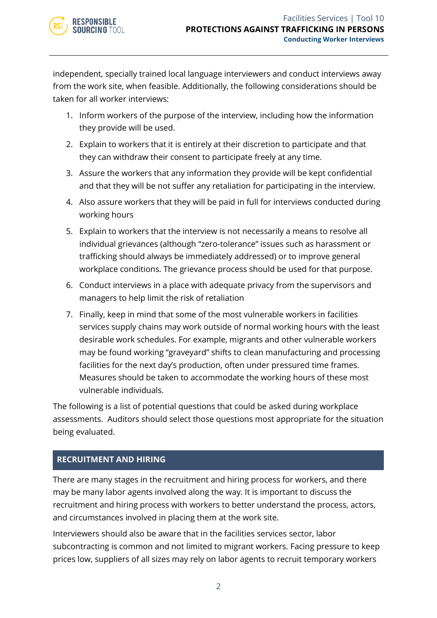independent, specially trained local language interviewers and conduct interviews away from the work site, when feasible. Additionally, the following considerations should be taken for all worker interviews:

- 1. Inform workers of the purpose of the interview, including how the information they provide will be used.
- 2. Explain to workers that it is entirely at their discretion to participate and that they can withdraw their consent to participate freely at any time.
- 3. Assure the workers that any information they provide will be kept confidential and that they will be not suffer any retaliation for participating in the interview.
- 4. Also assure workers that they will be paid in full for interviews conducted during working hours
- 5. Explain to workers that the interview is not necessarily a means to resolve all individual grievances (although "zero-tolerance" issues such as harassment or trafficking should always be immediately addressed) or to improve general workplace conditions. The grievance process should be used for that purpose.
- 6. Conduct interviews in a place with adequate privacy from the supervisors and managers to help limit the risk of retaliation
- 7. Finally, keep in mind that some of the most vulnerable workers in facilities services supply chains may work outside of normal working hours with the least desirable work schedules. For example, migrants and other vulnerable workers may be found working "graveyard" shifts to clean manufacturing and processing facilities for the next day's production, often under pressured time frames. Measures should be taken to accommodate the working hours of these most vulnerable individuals.

The following is a list of potential questions that could be asked during workplace assessments. Auditors should select those questions most appropriate for the situation being evaluated.

#### **RECRUITMENT AND HIRING**

There are many stages in the recruitment and hiring process for workers, and there may be many labor agents involved along the way. It is important to discuss the recruitment and hiring process with workers to better understand the process, actors, and circumstances involved in placing them at the work site.

Interviewers should also be aware that in the facilities services sector, labor subcontracting is common and not limited to migrant workers. Facing pressure to keep prices low, suppliers of all sizes may rely on labor agents to recruit temporary workers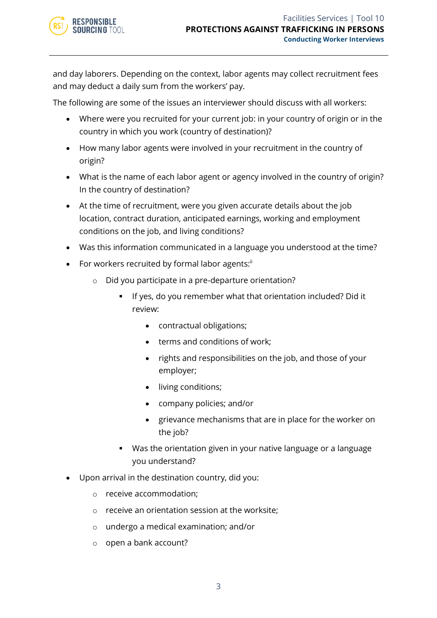and day laborers. Depending on the context, labor agents may collect recruitment fees and may deduct a daily sum from the workers' pay.

The following are some of the issues an interviewer should discuss with all workers:

- Where were you recruited for your current job: in your country of origin or in the country in which you work (country of destination)?
- How many labor agents were involved in your recruitment in the country of origin?
- What is the name of each labor agent or agency involved in the country of origin? In the country of destination?
- At the time of recruitment, were you given accurate details about the job location, contract duration, anticipated earnings, working and employment conditions on the job, and living conditions?
- Was this information communicated in a language you understood at the time?
- For workers recruited by formal labor agents:"
	- o Did you participate in a pre-departure orientation?
		- If yes, do you remember what that orientation included? Did it review:
			- contractual obligations;
			- terms and conditions of work;
			- rights and responsibilities on the job, and those of your employer;
			- living conditions;
			- company policies; and/or
			- grievance mechanisms that are in place for the worker on the job?
		- Was the orientation given in your native language or a language you understand?
- Upon arrival in the destination country, did you:
	- o receive accommodation;
	- o receive an orientation session at the worksite;
	- o undergo a medical examination; and/or
	- o open a bank account?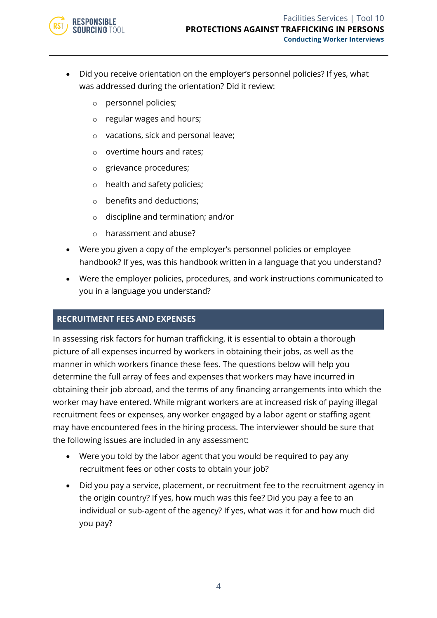

- Did you receive orientation on the employer's personnel policies? If yes, what was addressed during the orientation? Did it review:
	- o personnel policies;
	- o regular wages and hours;
	- o vacations, sick and personal leave;
	- o overtime hours and rates;
	- o grievance procedures;
	- o health and safety policies;
	- o benefits and deductions;
	- o discipline and termination; and/or
	- o harassment and abuse?
- Were you given a copy of the employer's personnel policies or employee handbook? If yes, was this handbook written in a language that you understand?
- Were the employer policies, procedures, and work instructions communicated to you in a language you understand?

#### **RECRUITMENT FEES AND EXPENSES**

In assessing risk factors for human trafficking, it is essential to obtain a thorough picture of all expenses incurred by workers in obtaining their jobs, as well as the manner in which workers finance these fees. The questions below will help you determine the full array of fees and expenses that workers may have incurred in obtaining their job abroad, and the terms of any financing arrangements into which the worker may have entered. While migrant workers are at increased risk of paying illegal recruitment fees or expenses, any worker engaged by a labor agent or staffing agent may have encountered fees in the hiring process. The interviewer should be sure that the following issues are included in any assessment:

- Were you told by the labor agent that you would be required to pay any recruitment fees or other costs to obtain your job?
- Did you pay a service, placement, or recruitment fee to the recruitment agency in the origin country? If yes, how much was this fee? Did you pay a fee to an individual or sub-agent of the agency? If yes, what was it for and how much did you pay?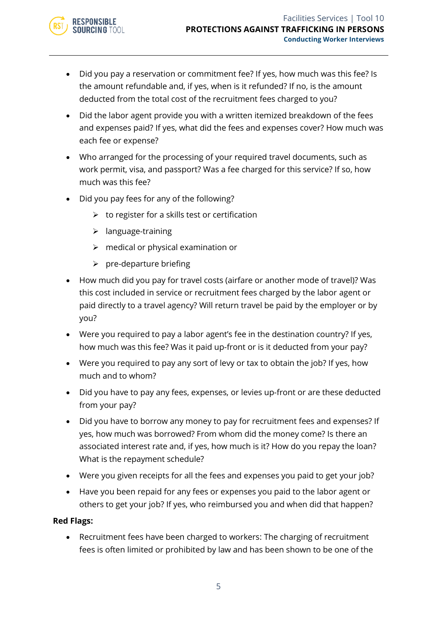- Did you pay a reservation or commitment fee? If yes, how much was this fee? Is the amount refundable and, if yes, when is it refunded? If no, is the amount deducted from the total cost of the recruitment fees charged to you?
- Did the labor agent provide you with a written itemized breakdown of the fees and expenses paid? If yes, what did the fees and expenses cover? How much was each fee or expense?
- Who arranged for the processing of your required travel documents, such as work permit, visa, and passport? Was a fee charged for this service? If so, how much was this fee?
- Did you pay fees for any of the following?
	- $\triangleright$  to register for a skills test or certification
	- ➢ language-training

**RESPONSIBLE SOURCING TOOL** 

- $\triangleright$  medical or physical examination or
- $\triangleright$  pre-departure briefing
- How much did you pay for travel costs (airfare or another mode of travel)? Was this cost included in service or recruitment fees charged by the labor agent or paid directly to a travel agency? Will return travel be paid by the employer or by you?
- Were you required to pay a labor agent's fee in the destination country? If yes, how much was this fee? Was it paid up-front or is it deducted from your pay?
- Were you required to pay any sort of levy or tax to obtain the job? If yes, how much and to whom?
- Did you have to pay any fees, expenses, or levies up-front or are these deducted from your pay?
- Did you have to borrow any money to pay for recruitment fees and expenses? If yes, how much was borrowed? From whom did the money come? Is there an associated interest rate and, if yes, how much is it? How do you repay the loan? What is the repayment schedule?
- Were you given receipts for all the fees and expenses you paid to get your job?
- Have you been repaid for any fees or expenses you paid to the labor agent or others to get your job? If yes, who reimbursed you and when did that happen?

#### **Red Flags:**

• Recruitment fees have been charged to workers: The charging of recruitment fees is often limited or prohibited by law and has been shown to be one of the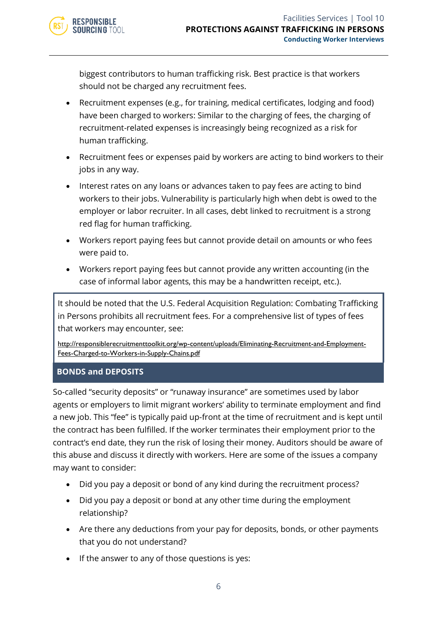biggest contributors to human trafficking risk. Best practice is that workers should not be charged any recruitment fees.

- Recruitment expenses (e.g., for training, medical certificates, lodging and food) have been charged to workers: Similar to the charging of fees, the charging of recruitment-related expenses is increasingly being recognized as a risk for human trafficking.
- Recruitment fees or expenses paid by workers are acting to bind workers to their jobs in any way.
- Interest rates on any loans or advances taken to pay fees are acting to bind workers to their jobs. Vulnerability is particularly high when debt is owed to the employer or labor recruiter. In all cases, debt linked to recruitment is a strong red flag for human trafficking.
- Workers report paying fees but cannot provide detail on amounts or who fees were paid to.
- Workers report paying fees but cannot provide any written accounting (in the case of informal labor agents, this may be a handwritten receipt, etc.).

It should be noted that the U.S. Federal Acquisition Regulation: Combating Trafficking in Persons prohibits all recruitment fees. For a comprehensive list of types of fees that workers may encounter, see:

[http://responsiblerecruitmenttoolkit.org/wp-content/uploads/Eliminating-Recruitment-and-Employment-](http://responsiblerecruitmenttoolkit.org/wp-content/uploads/Eliminating-Recruitment-and-Employment-Fees-Charged-to-Workers-in-Supply-Chains.pdf)[Fees-Charged-to-Workers-in-Supply-Chains.pdf](http://responsiblerecruitmenttoolkit.org/wp-content/uploads/Eliminating-Recruitment-and-Employment-Fees-Charged-to-Workers-in-Supply-Chains.pdf)

#### **BONDS and DEPOSITS**

**RESPONSIBLE** SOURCING TOOL

So-called "security deposits" or "runaway insurance" are sometimes used by labor agents or employers to limit migrant workers' ability to terminate employment and find a new job. This "fee" is typically paid up-front at the time of recruitment and is kept until the contract has been fulfilled. If the worker terminates their employment prior to the contract's end date, they run the risk of losing their money. Auditors should be aware of this abuse and discuss it directly with workers. Here are some of the issues a company may want to consider:

- Did you pay a deposit or bond of any kind during the recruitment process?
- Did you pay a deposit or bond at any other time during the employment relationship?
- Are there any deductions from your pay for deposits, bonds, or other payments that you do not understand?
- If the answer to any of those questions is yes: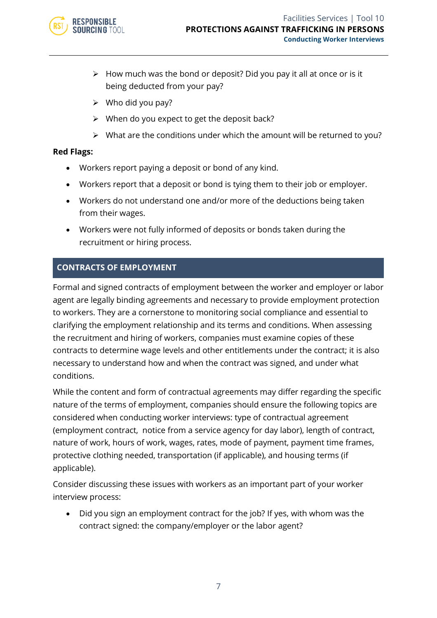

- $\triangleright$  How much was the bond or deposit? Did you pay it all at once or is it being deducted from your pay?
- $\triangleright$  Who did you pay?
- $\triangleright$  When do you expect to get the deposit back?
- ➢ What are the conditions under which the amount will be returned to you?

- Workers report paying a deposit or bond of any kind.
- Workers report that a deposit or bond is tying them to their job or employer.
- Workers do not understand one and/or more of the deductions being taken from their wages.
- Workers were not fully informed of deposits or bonds taken during the recruitment or hiring process.

#### **CONTRACTS OF EMPLOYMENT**

Formal and signed contracts of employment between the worker and employer or labor agent are legally binding agreements and necessary to provide employment protection to workers. They are a cornerstone to monitoring social compliance and essential to clarifying the employment relationship and its terms and conditions. When assessing the recruitment and hiring of workers, companies must examine copies of these contracts to determine wage levels and other entitlements under the contract; it is also necessary to understand how and when the contract was signed, and under what conditions.

While the content and form of contractual agreements may differ regarding the specific nature of the terms of employment, companies should ensure the following topics are considered when conducting worker interviews: type of contractual agreement (employment contract, notice from a service agency for day labor), length of contract, nature of work, hours of work, wages, rates, mode of payment, payment time frames, protective clothing needed, transportation (if applicable), and housing terms (if applicable).

Consider discussing these issues with workers as an important part of your worker interview process:

• Did you sign an employment contract for the job? If yes, with whom was the contract signed: the company/employer or the labor agent?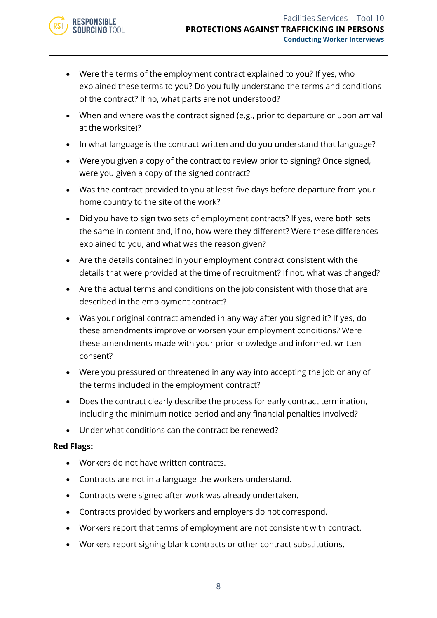- Were the terms of the employment contract explained to you? If yes, who explained these terms to you? Do you fully understand the terms and conditions of the contract? If no, what parts are not understood?
- When and where was the contract signed (e.g., prior to departure or upon arrival at the worksite)?
- In what language is the contract written and do you understand that language?
- Were you given a copy of the contract to review prior to signing? Once signed, were you given a copy of the signed contract?
- Was the contract provided to you at least five days before departure from your home country to the site of the work?
- Did you have to sign two sets of employment contracts? If yes, were both sets the same in content and, if no, how were they different? Were these differences explained to you, and what was the reason given?
- Are the details contained in your employment contract consistent with the details that were provided at the time of recruitment? If not, what was changed?
- Are the actual terms and conditions on the job consistent with those that are described in the employment contract?
- Was your original contract amended in any way after you signed it? If yes, do these amendments improve or worsen your employment conditions? Were these amendments made with your prior knowledge and informed, written consent?
- Were you pressured or threatened in any way into accepting the job or any of the terms included in the employment contract?
- Does the contract clearly describe the process for early contract termination, including the minimum notice period and any financial penalties involved?
- Under what conditions can the contract be renewed?

- Workers do not have written contracts.
- Contracts are not in a language the workers understand.
- Contracts were signed after work was already undertaken.
- Contracts provided by workers and employers do not correspond.
- Workers report that terms of employment are not consistent with contract.
- Workers report signing blank contracts or other contract substitutions.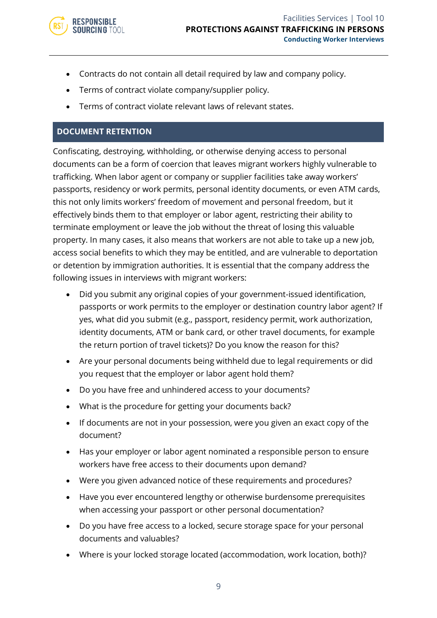

- Contracts do not contain all detail required by law and company policy.
- Terms of contract violate company/supplier policy.
- Terms of contract violate relevant laws of relevant states.

#### **DOCUMENT RETENTION**

Confiscating, destroying, withholding, or otherwise denying access to personal documents can be a form of coercion that leaves migrant workers highly vulnerable to trafficking. When labor agent or company or supplier facilities take away workers' passports, residency or work permits, personal identity documents, or even ATM cards, this not only limits workers' freedom of movement and personal freedom, but it effectively binds them to that employer or labor agent, restricting their ability to terminate employment or leave the job without the threat of losing this valuable property. In many cases, it also means that workers are not able to take up a new job, access social benefits to which they may be entitled, and are vulnerable to deportation or detention by immigration authorities. It is essential that the company address the following issues in interviews with migrant workers:

- Did you submit any original copies of your government-issued identification, passports or work permits to the employer or destination country labor agent? If yes, what did you submit (e.g., passport, residency permit, work authorization, identity documents, ATM or bank card, or other travel documents, for example the return portion of travel tickets)? Do you know the reason for this?
- Are your personal documents being withheld due to legal requirements or did you request that the employer or labor agent hold them?
- Do you have free and unhindered access to your documents?
- What is the procedure for getting your documents back?
- If documents are not in your possession, were you given an exact copy of the document?
- Has your employer or labor agent nominated a responsible person to ensure workers have free access to their documents upon demand?
- Were you given advanced notice of these requirements and procedures?
- Have you ever encountered lengthy or otherwise burdensome prerequisites when accessing your passport or other personal documentation?
- Do you have free access to a locked, secure storage space for your personal documents and valuables?
- Where is your locked storage located (accommodation, work location, both)?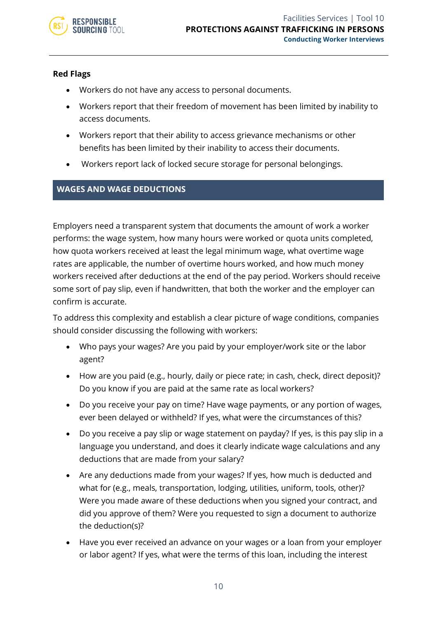

- Workers do not have any access to personal documents.
- Workers report that their freedom of movement has been limited by inability to access documents.
- Workers report that their ability to access grievance mechanisms or other benefits has been limited by their inability to access their documents.
- Workers report lack of locked secure storage for personal belongings.

#### **WAGES AND WAGE DEDUCTIONS**

Employers need a transparent system that documents the amount of work a worker performs: the wage system, how many hours were worked or quota units completed, how quota workers received at least the legal minimum wage, what overtime wage rates are applicable, the number of overtime hours worked, and how much money workers received after deductions at the end of the pay period. Workers should receive some sort of pay slip, even if handwritten, that both the worker and the employer can confirm is accurate.

To address this complexity and establish a clear picture of wage conditions, companies should consider discussing the following with workers:

- Who pays your wages? Are you paid by your employer/work site or the labor agent?
- How are you paid (e.g., hourly, daily or piece rate; in cash, check, direct deposit)? Do you know if you are paid at the same rate as local workers?
- Do you receive your pay on time? Have wage payments, or any portion of wages, ever been delayed or withheld? If yes, what were the circumstances of this?
- Do you receive a pay slip or wage statement on payday? If yes, is this pay slip in a language you understand, and does it clearly indicate wage calculations and any deductions that are made from your salary?
- Are any deductions made from your wages? If yes, how much is deducted and what for (e.g., meals, transportation, lodging, utilities, uniform, tools, other)? Were you made aware of these deductions when you signed your contract, and did you approve of them? Were you requested to sign a document to authorize the deduction(s)?
- Have you ever received an advance on your wages or a loan from your employer or labor agent? If yes, what were the terms of this loan, including the interest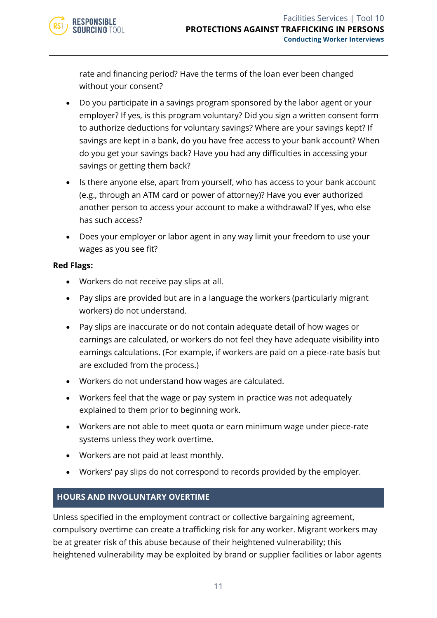

rate and financing period? Have the terms of the loan ever been changed without your consent?

- Do you participate in a savings program sponsored by the labor agent or your employer? If yes, is this program voluntary? Did you sign a written consent form to authorize deductions for voluntary savings? Where are your savings kept? If savings are kept in a bank, do you have free access to your bank account? When do you get your savings back? Have you had any difficulties in accessing your savings or getting them back?
- Is there anyone else, apart from yourself, who has access to your bank account (e.g., through an ATM card or power of attorney)? Have you ever authorized another person to access your account to make a withdrawal? If yes, who else has such access?
- Does your employer or labor agent in any way limit your freedom to use your wages as you see fit?

#### **Red Flags:**

- Workers do not receive pay slips at all.
- Pay slips are provided but are in a language the workers (particularly migrant workers) do not understand.
- Pay slips are inaccurate or do not contain adequate detail of how wages or earnings are calculated, or workers do not feel they have adequate visibility into earnings calculations. (For example, if workers are paid on a piece-rate basis but are excluded from the process.)
- Workers do not understand how wages are calculated.
- Workers feel that the wage or pay system in practice was not adequately explained to them prior to beginning work.
- Workers are not able to meet quota or earn minimum wage under piece-rate systems unless they work overtime.
- Workers are not paid at least monthly.
- Workers' pay slips do not correspond to records provided by the employer.

#### **HOURS AND INVOLUNTARY OVERTIME**

Unless specified in the employment contract or collective bargaining agreement, compulsory overtime can create a trafficking risk for any worker. Migrant workers may be at greater risk of this abuse because of their heightened vulnerability; this heightened vulnerability may be exploited by brand or supplier facilities or labor agents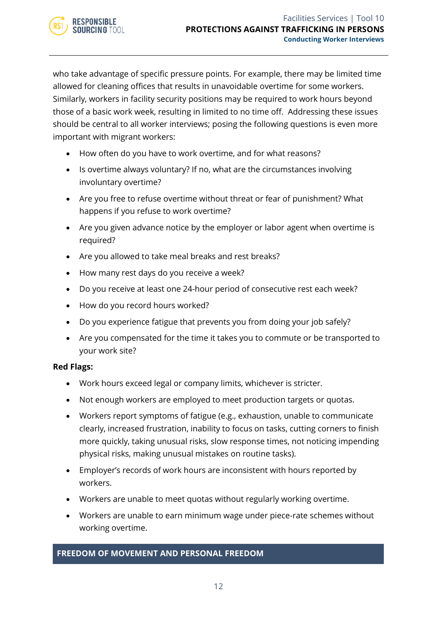who take advantage of specific pressure points. For example, there may be limited time allowed for cleaning offices that results in unavoidable overtime for some workers. Similarly, workers in facility security positions may be required to work hours beyond those of a basic work week, resulting in limited to no time off. Addressing these issues should be central to all worker interviews; posing the following questions is even more important with migrant workers:

- How often do you have to work overtime, and for what reasons?
- Is overtime always voluntary? If no, what are the circumstances involving involuntary overtime?
- Are you free to refuse overtime without threat or fear of punishment? What happens if you refuse to work overtime?
- Are you given advance notice by the employer or labor agent when overtime is required?
- Are you allowed to take meal breaks and rest breaks?
- How many rest days do you receive a week?
- Do you receive at least one 24-hour period of consecutive rest each week?
- How do you record hours worked?
- Do you experience fatigue that prevents you from doing your job safely?
- Are you compensated for the time it takes you to commute or be transported to your work site?

#### **Red Flags:**

- Work hours exceed legal or company limits, whichever is stricter.
- Not enough workers are employed to meet production targets or quotas.
- Workers report symptoms of fatigue (e.g., exhaustion, unable to communicate clearly, increased frustration, inability to focus on tasks, cutting corners to finish more quickly, taking unusual risks, slow response times, not noticing impending physical risks, making unusual mistakes on routine tasks).
- Employer's records of work hours are inconsistent with hours reported by workers.
- Workers are unable to meet quotas without regularly working overtime.
- Workers are unable to earn minimum wage under piece-rate schemes without working overtime.

#### **FREEDOM OF MOVEMENT AND PERSONAL FREEDOM**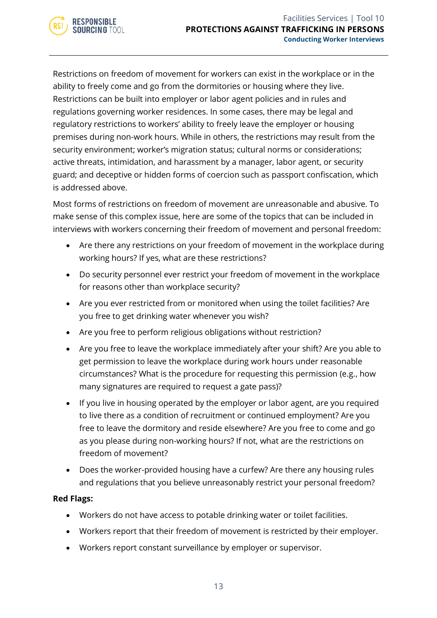

Restrictions on freedom of movement for workers can exist in the workplace or in the ability to freely come and go from the dormitories or housing where they live. Restrictions can be built into employer or labor agent policies and in rules and regulations governing worker residences. In some cases, there may be legal and regulatory restrictions to workers' ability to freely leave the employer or housing premises during non-work hours. While in others, the restrictions may result from the security environment; worker's migration status; cultural norms or considerations; active threats, intimidation, and harassment by a manager, labor agent, or security guard; and deceptive or hidden forms of coercion such as passport confiscation, which is addressed above.

Most forms of restrictions on freedom of movement are unreasonable and abusive. To make sense of this complex issue, here are some of the topics that can be included in interviews with workers concerning their freedom of movement and personal freedom:

- Are there any restrictions on your freedom of movement in the workplace during working hours? If yes, what are these restrictions?
- Do security personnel ever restrict your freedom of movement in the workplace for reasons other than workplace security?
- Are you ever restricted from or monitored when using the toilet facilities? Are you free to get drinking water whenever you wish?
- Are you free to perform religious obligations without restriction?
- Are you free to leave the workplace immediately after your shift? Are you able to get permission to leave the workplace during work hours under reasonable circumstances? What is the procedure for requesting this permission (e.g., how many signatures are required to request a gate pass)?
- If you live in housing operated by the employer or labor agent, are you required to live there as a condition of recruitment or continued employment? Are you free to leave the dormitory and reside elsewhere? Are you free to come and go as you please during non-working hours? If not, what are the restrictions on freedom of movement?
- Does the worker-provided housing have a curfew? Are there any housing rules and regulations that you believe unreasonably restrict your personal freedom?

#### **Red Flags:**

- Workers do not have access to potable drinking water or toilet facilities.
- Workers report that their freedom of movement is restricted by their employer.
- Workers report constant surveillance by employer or supervisor.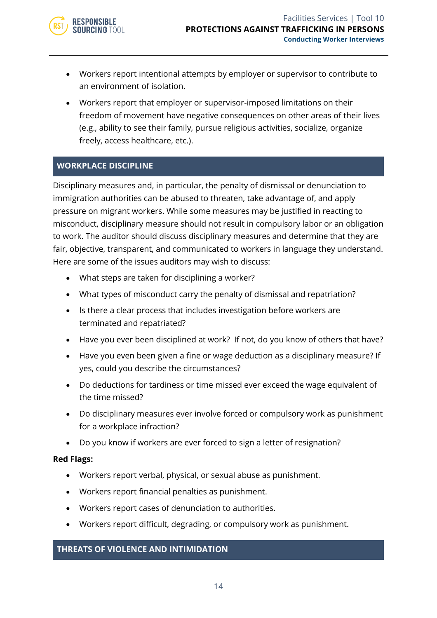- Workers report intentional attempts by employer or supervisor to contribute to an environment of isolation.
- Workers report that employer or supervisor-imposed limitations on their freedom of movement have negative consequences on other areas of their lives (e.g., ability to see their family, pursue religious activities, socialize, organize freely, access healthcare, etc.).

#### **WORKPLACE DISCIPLINE**

Disciplinary measures and, in particular, the penalty of dismissal or denunciation to immigration authorities can be abused to threaten, take advantage of, and apply pressure on migrant workers. While some measures may be justified in reacting to misconduct, disciplinary measure should not result in compulsory labor or an obligation to work. The auditor should discuss disciplinary measures and determine that they are fair, objective, transparent, and communicated to workers in language they understand. Here are some of the issues auditors may wish to discuss:

- What steps are taken for disciplining a worker?
- What types of misconduct carry the penalty of dismissal and repatriation?
- Is there a clear process that includes investigation before workers are terminated and repatriated?
- Have you ever been disciplined at work? If not, do you know of others that have?
- Have you even been given a fine or wage deduction as a disciplinary measure? If yes, could you describe the circumstances?
- Do deductions for tardiness or time missed ever exceed the wage equivalent of the time missed?
- Do disciplinary measures ever involve forced or compulsory work as punishment for a workplace infraction?
- Do you know if workers are ever forced to sign a letter of resignation?

#### **Red Flags:**

- Workers report verbal, physical, or sexual abuse as punishment.
- Workers report financial penalties as punishment.
- Workers report cases of denunciation to authorities.
- Workers report difficult, degrading, or compulsory work as punishment.

#### **THREATS OF VIOLENCE AND INTIMIDATION**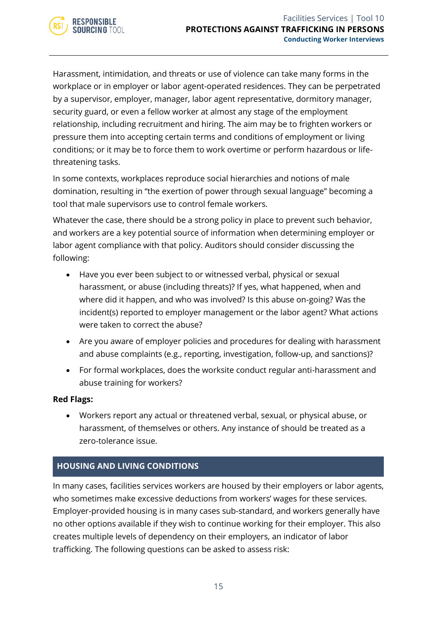

Harassment, intimidation, and threats or use of violence can take many forms in the workplace or in employer or labor agent-operated residences. They can be perpetrated by a supervisor, employer, manager, labor agent representative, dormitory manager, security guard, or even a fellow worker at almost any stage of the employment relationship, including recruitment and hiring. The aim may be to frighten workers or pressure them into accepting certain terms and conditions of employment or living conditions; or it may be to force them to work overtime or perform hazardous or lifethreatening tasks.

In some contexts, workplaces reproduce social hierarchies and notions of male domination, resulting in "the exertion of power through sexual language" becoming a tool that male supervisors use to control female workers.

Whatever the case, there should be a strong policy in place to prevent such behavior, and workers are a key potential source of information when determining employer or labor agent compliance with that policy. Auditors should consider discussing the following:

- Have you ever been subject to or witnessed verbal, physical or sexual harassment, or abuse (including threats)? If yes, what happened, when and where did it happen, and who was involved? Is this abuse on-going? Was the incident(s) reported to employer management or the labor agent? What actions were taken to correct the abuse?
- Are you aware of employer policies and procedures for dealing with harassment and abuse complaints (e.g., reporting, investigation, follow-up, and sanctions)?
- For formal workplaces, does the worksite conduct regular anti-harassment and abuse training for workers?

#### **Red Flags:**

• Workers report any actual or threatened verbal, sexual, or physical abuse, or harassment, of themselves or others. Any instance of should be treated as a zero-tolerance issue.

#### **HOUSING AND LIVING CONDITIONS**

In many cases, facilities services workers are housed by their employers or labor agents, who sometimes make excessive deductions from workers' wages for these services. Employer-provided housing is in many cases sub-standard, and workers generally have no other options available if they wish to continue working for their employer. This also creates multiple levels of dependency on their employers, an indicator of labor trafficking. The following questions can be asked to assess risk: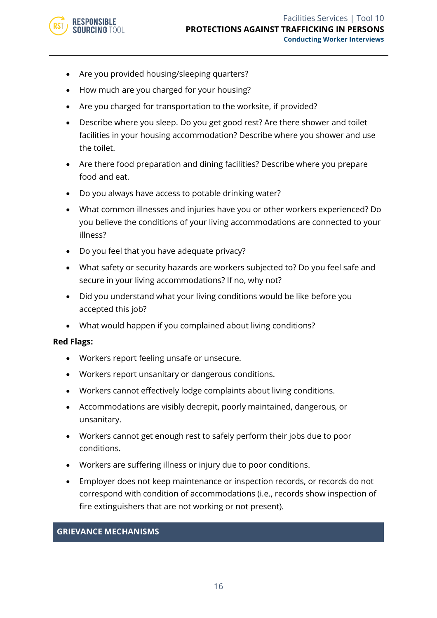- Are you provided housing/sleeping quarters?
- How much are you charged for your housing?
- Are you charged for transportation to the worksite, if provided?
- Describe where you sleep. Do you get good rest? Are there shower and toilet facilities in your housing accommodation? Describe where you shower and use the toilet.
- Are there food preparation and dining facilities? Describe where you prepare food and eat.
- Do you always have access to potable drinking water?
- What common illnesses and injuries have you or other workers experienced? Do you believe the conditions of your living accommodations are connected to your illness?
- Do you feel that you have adequate privacy?
- What safety or security hazards are workers subjected to? Do you feel safe and secure in your living accommodations? If no, why not?
- Did you understand what your living conditions would be like before you accepted this job?
- What would happen if you complained about living conditions?

- Workers report feeling unsafe or unsecure.
- Workers report unsanitary or dangerous conditions.
- Workers cannot effectively lodge complaints about living conditions.
- Accommodations are visibly decrepit, poorly maintained, dangerous, or unsanitary.
- Workers cannot get enough rest to safely perform their jobs due to poor conditions.
- Workers are suffering illness or injury due to poor conditions.
- Employer does not keep maintenance or inspection records, or records do not correspond with condition of accommodations (i.e., records show inspection of fire extinguishers that are not working or not present).

#### **GRIEVANCE MECHANISMS**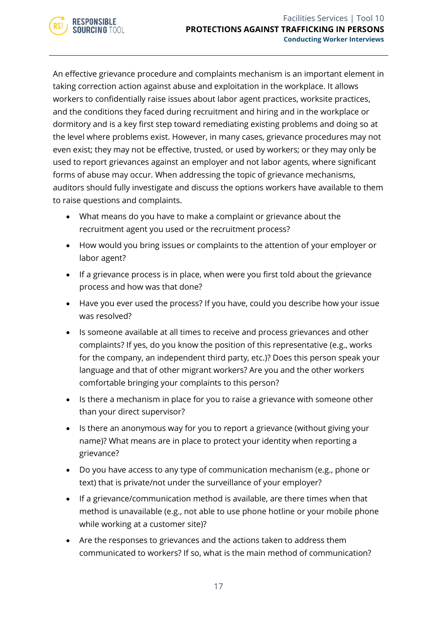

An effective grievance procedure and complaints mechanism is an important element in taking correction action against abuse and exploitation in the workplace. It allows workers to confidentially raise issues about labor agent practices, worksite practices, and the conditions they faced during recruitment and hiring and in the workplace or dormitory and is a key first step toward remediating existing problems and doing so at the level where problems exist. However, in many cases, grievance procedures may not even exist; they may not be effective, trusted, or used by workers; or they may only be used to report grievances against an employer and not labor agents, where significant forms of abuse may occur. When addressing the topic of grievance mechanisms, auditors should fully investigate and discuss the options workers have available to them to raise questions and complaints.

- What means do you have to make a complaint or grievance about the recruitment agent you used or the recruitment process?
- How would you bring issues or complaints to the attention of your employer or labor agent?
- If a grievance process is in place, when were you first told about the grievance process and how was that done?
- Have you ever used the process? If you have, could you describe how your issue was resolved?
- Is someone available at all times to receive and process grievances and other complaints? If yes, do you know the position of this representative (e.g., works for the company, an independent third party, etc.)? Does this person speak your language and that of other migrant workers? Are you and the other workers comfortable bringing your complaints to this person?
- Is there a mechanism in place for you to raise a grievance with someone other than your direct supervisor?
- Is there an anonymous way for you to report a grievance (without giving your name)? What means are in place to protect your identity when reporting a grievance?
- Do you have access to any type of communication mechanism (e.g., phone or text) that is private/not under the surveillance of your employer?
- If a grievance/communication method is available, are there times when that method is unavailable (e.g., not able to use phone hotline or your mobile phone while working at a customer site)?
- Are the responses to grievances and the actions taken to address them communicated to workers? If so, what is the main method of communication?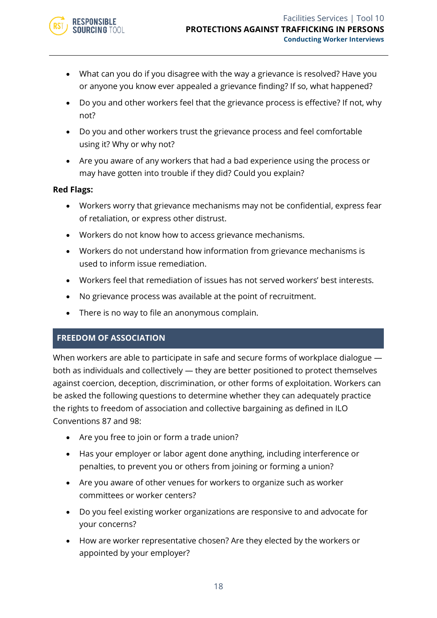

- What can you do if you disagree with the way a grievance is resolved? Have you or anyone you know ever appealed a grievance finding? If so, what happened?
- Do you and other workers feel that the grievance process is effective? If not, why not?
- Do you and other workers trust the grievance process and feel comfortable using it? Why or why not?
- Are you aware of any workers that had a bad experience using the process or may have gotten into trouble if they did? Could you explain?

- Workers worry that grievance mechanisms may not be confidential, express fear of retaliation, or express other distrust.
- Workers do not know how to access grievance mechanisms.
- Workers do not understand how information from grievance mechanisms is used to inform issue remediation.
- Workers feel that remediation of issues has not served workers' best interests.
- No grievance process was available at the point of recruitment.
- There is no way to file an anonymous complain.

#### **FREEDOM OF ASSOCIATION**

When workers are able to participate in safe and secure forms of workplace dialogue both as individuals and collectively — they are better positioned to protect themselves against coercion, deception, discrimination, or other forms of exploitation. Workers can be asked the following questions to determine whether they can adequately practice the rights to freedom of association and collective bargaining as defined in ILO Conventions 87 and 98:

- Are you free to join or form a trade union?
- Has your employer or labor agent done anything, including interference or penalties, to prevent you or others from joining or forming a union?
- Are you aware of other venues for workers to organize such as worker committees or worker centers?
- Do you feel existing worker organizations are responsive to and advocate for your concerns?
- How are worker representative chosen? Are they elected by the workers or appointed by your employer?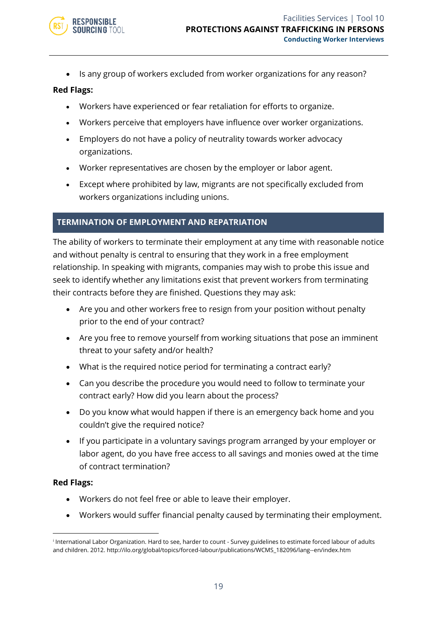

• Is any group of workers excluded from worker organizations for any reason?

#### **Red Flags:**

- Workers have experienced or fear retaliation for efforts to organize.
- Workers perceive that employers have influence over worker organizations.
- Employers do not have a policy of neutrality towards worker advocacy organizations.
- Worker representatives are chosen by the employer or labor agent.
- Except where prohibited by law, migrants are not specifically excluded from workers organizations including unions.

#### **TERMINATION OF EMPLOYMENT AND REPATRIATION**

The ability of workers to terminate their employment at any time with reasonable notice and without penalty is central to ensuring that they work in a free employment relationship. In speaking with migrants, companies may wish to probe this issue and seek to identify whether any limitations exist that prevent workers from terminating their contracts before they are finished. Questions they may ask:

- Are you and other workers free to resign from your position without penalty prior to the end of your contract?
- Are you free to remove yourself from working situations that pose an imminent threat to your safety and/or health?
- What is the required notice period for terminating a contract early?
- Can you describe the procedure you would need to follow to terminate your contract early? How did you learn about the process?
- Do you know what would happen if there is an emergency back home and you couldn't give the required notice?
- If you participate in a voluntary savings program arranged by your employer or labor agent, do you have free access to all savings and monies owed at the time of contract termination?

#### **Red Flags:**

- Workers do not feel free or able to leave their employer.
- Workers would suffer financial penalty caused by terminating their employment.

i International Labor Organization. Hard to see, harder to count - Survey guidelines to estimate forced labour of adults and children. 2012. http://ilo.org/global/topics/forced-labour/publications/WCMS\_182096/lang--en/index.htm